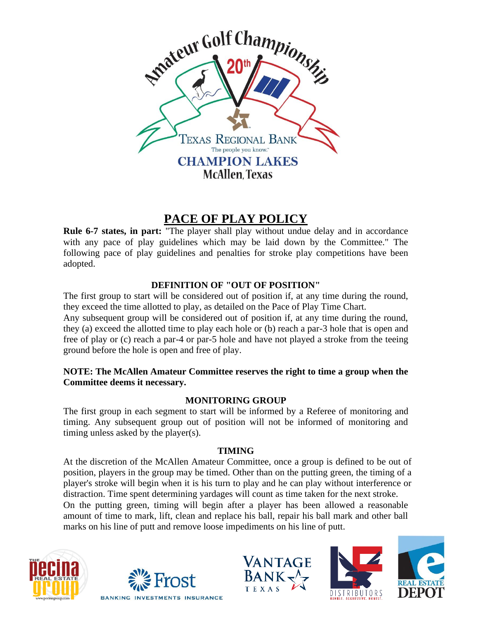

# **PACE OF PLAY POLICY**

**Rule 6-7 states, in part:** "The player shall play without undue delay and in accordance with any pace of play guidelines which may be laid down by the Committee." The following pace of play guidelines and penalties for stroke play competitions have been adopted.

# **DEFINITION OF "OUT OF POSITION"**

The first group to start will be considered out of position if, at any time during the round, they exceed the time allotted to play, as detailed on the Pace of Play Time Chart.

Any subsequent group will be considered out of position if, at any time during the round, they (a) exceed the allotted time to play each hole or (b) reach a par-3 hole that is open and free of play or (c) reach a par-4 or par-5 hole and have not played a stroke from the teeing ground before the hole is open and free of play.

## **NOTE: The McAllen Amateur Committee reserves the right to time a group when the Committee deems it necessary.**

# **MONITORING GROUP**

The first group in each segment to start will be informed by a Referee of monitoring and timing. Any subsequent group out of position will not be informed of monitoring and timing unless asked by the player(s).

#### **TIMING**

At the discretion of the McAllen Amateur Committee, once a group is defined to be out of position, players in the group may be timed. Other than on the putting green, the timing of a player's stroke will begin when it is his turn to play and he can play without interference or distraction. Time spent determining yardages will count as time taken for the next stroke. On the putting green, timing will begin after a player has been allowed a reasonable amount of time to mark, lift, clean and replace his ball, repair his ball mark and other ball marks on his line of putt and remove loose impediments on his line of putt.









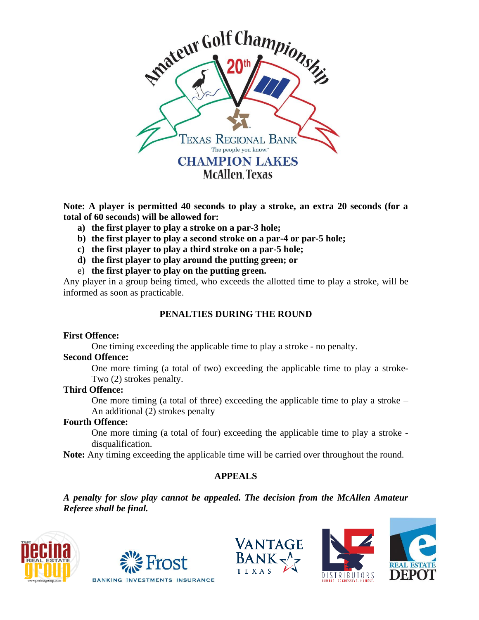

**Note: A player is permitted 40 seconds to play a stroke, an extra 20 seconds (for a total of 60 seconds) will be allowed for:**

- **a) the first player to play a stroke on a par-3 hole;**
- **b) the first player to play a second stroke on a par-4 or par-5 hole;**
- **c) the first player to play a third stroke on a par-5 hole;**
- **d) the first player to play around the putting green; or**
- e) **the first player to play on the putting green.**

Any player in a group being timed, who exceeds the allotted time to play a stroke, will be informed as soon as practicable.

### **PENALTIES DURING THE ROUND**

#### **First Offence:**

One timing exceeding the applicable time to play a stroke - no penalty.

#### **Second Offence:**

One more timing (a total of two) exceeding the applicable time to play a stroke-Two (2) strokes penalty.

#### **Third Offence:**

One more timing (a total of three) exceeding the applicable time to play a stroke – An additional (2) strokes penalty

#### **Fourth Offence:**

One more timing (a total of four) exceeding the applicable time to play a stroke disqualification.

**Note:** Any timing exceeding the applicable time will be carried over throughout the round.

#### **APPEALS**

*A penalty for slow play cannot be appealed. The decision from the McAllen Amateur Referee shall be final.*